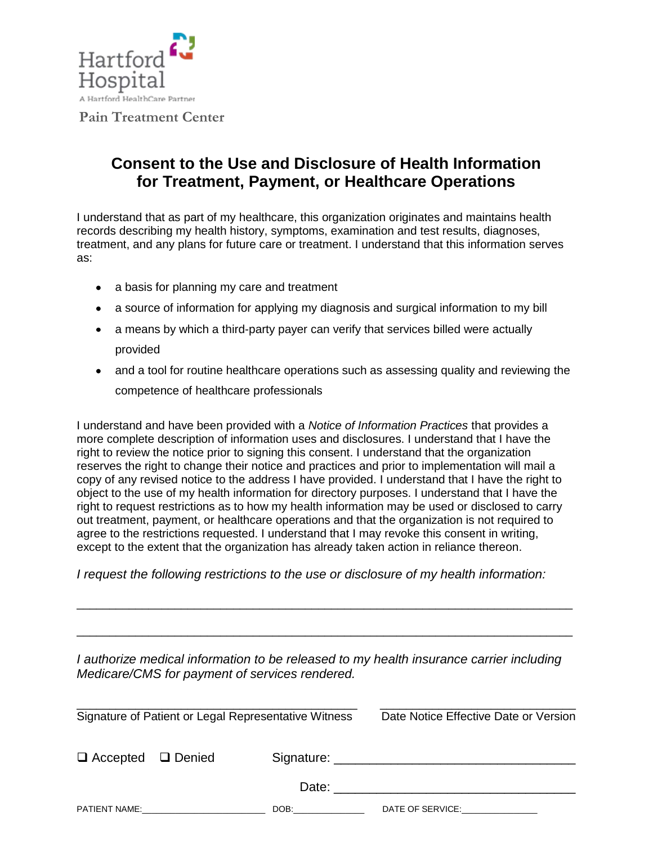

## **Consent to the Use and Disclosure of Health Information for Treatment, Payment, or Healthcare Operations**

I understand that as part of my healthcare, this organization originates and maintains health records describing my health history, symptoms, examination and test results, diagnoses, treatment, and any plans for future care or treatment. I understand that this information serves as:

- a basis for planning my care and treatment
- a source of information for applying my diagnosis and surgical information to my bill
- a means by which a third-party payer can verify that services billed were actually provided
- and a tool for routine healthcare operations such as assessing quality and reviewing the competence of healthcare professionals

I understand and have been provided with a *Notice of Information Practices* that provides a more complete description of information uses and disclosures. I understand that I have the right to review the notice prior to signing this consent. I understand that the organization reserves the right to change their notice and practices and prior to implementation will mail a copy of any revised notice to the address I have provided. I understand that I have the right to object to the use of my health information for directory purposes. I understand that I have the right to request restrictions as to how my health information may be used or disclosed to carry out treatment, payment, or healthcare operations and that the organization is not required to agree to the restrictions requested. I understand that I may revoke this consent in writing, except to the extent that the organization has already taken action in reliance thereon.

*I request the following restrictions to the use or disclosure of my health information:*

*I authorize medical information to be released to my health insurance carrier including Medicare/CMS for payment of services rendered.* 

\_\_\_\_\_\_\_\_\_\_\_\_\_\_\_\_\_\_\_\_\_\_\_\_\_\_\_\_\_\_\_\_\_\_\_\_\_\_\_\_\_\_\_\_\_\_\_\_\_\_\_\_\_\_\_\_\_\_\_\_\_\_\_\_\_\_\_\_\_\_\_\_\_\_\_\_

\_\_\_\_\_\_\_\_\_\_\_\_\_\_\_\_\_\_\_\_\_\_\_\_\_\_\_\_\_\_\_\_\_\_\_\_\_\_\_\_\_\_\_\_\_\_\_\_\_\_\_\_\_\_\_\_\_\_\_\_\_\_\_\_\_\_\_\_\_\_\_\_\_\_\_\_

| Signature of Patient or Legal Representative Witness |                            |                                                                                                                                                                                                                                | Date Notice Effective Date or Version    |  |  |
|------------------------------------------------------|----------------------------|--------------------------------------------------------------------------------------------------------------------------------------------------------------------------------------------------------------------------------|------------------------------------------|--|--|
| $\Box$ Accepted $\Box$ Denied                        |                            |                                                                                                                                                                                                                                |                                          |  |  |
|                                                      |                            |                                                                                                                                                                                                                                |                                          |  |  |
|                                                      | <b>PATIENT NAME:</b> NAME: | DOB: the contract of the contract of the contract of the contract of the contract of the contract of the contract of the contract of the contract of the contract of the contract of the contract of the contract of the contr | DATE OF SERVICE: NATE OF SERVICE STATES. |  |  |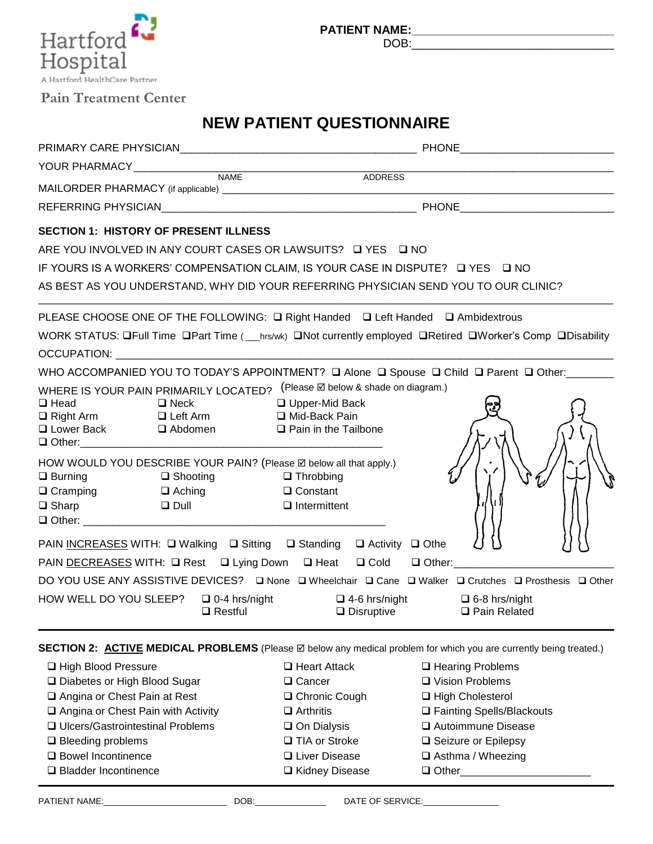

**PATIENT NAME:\_\_\_\_\_\_\_\_\_\_\_\_\_\_\_\_\_\_\_\_\_\_\_\_\_\_\_\_\_\_\_**

DOB:\_\_\_\_\_\_\_\_\_\_\_\_\_\_\_\_\_\_\_\_\_\_\_\_\_\_\_\_\_\_\_

## **Pain Treatment Center**

# **NEW PATIENT QUESTIONNAIRE**

|                                                      |                                                            |                                                                                                                                                                                                                                  | ADDRESS |  |  |
|------------------------------------------------------|------------------------------------------------------------|----------------------------------------------------------------------------------------------------------------------------------------------------------------------------------------------------------------------------------|---------|--|--|
|                                                      |                                                            |                                                                                                                                                                                                                                  |         |  |  |
|                                                      | <b>SECTION 1: HISTORY OF PRESENT ILLNESS</b>               |                                                                                                                                                                                                                                  |         |  |  |
|                                                      |                                                            | ARE YOU INVOLVED IN ANY COURT CASES OR LAWSUITS? □ YES □ NO                                                                                                                                                                      |         |  |  |
|                                                      |                                                            | IF YOURS IS A WORKERS' COMPENSATION CLAIM, IS YOUR CASE IN DISPUTE? □ YES □ NO                                                                                                                                                   |         |  |  |
|                                                      |                                                            | AS BEST AS YOU UNDERSTAND, WHY DID YOUR REFERRING PHYSICIAN SEND YOU TO OUR CLINIC?                                                                                                                                              |         |  |  |
|                                                      |                                                            | PLEASE CHOOSE ONE OF THE FOLLOWING: Q Right Handed Q Left Handed Q Ambidextrous<br>WORK STATUS: QFull Time QPart Time ( __ hrs/wk) QNot currently employed QRetired QWorker's Comp QDisability                                   |         |  |  |
|                                                      |                                                            | OCCUPATION: WE ARREST A STATE OF THE STATE OF THE STATE OF THE STATE OF THE STATE OF THE STATE OF THE STATE OF THE STATE OF THE STATE OF THE STATE OF THE STATE OF THE STATE OF THE STATE OF THE STATE OF THE STATE OF THE STA   |         |  |  |
|                                                      |                                                            | WHO ACCOMPANIED YOU TO TODAY'S APPOINTMENT? Q Alone Q Spouse Q Child Q Parent Q Other:<br>□                                                                                                                                      |         |  |  |
| $\Box$ Head                                          | $\Box$ Neck<br>□ Lower Back □ Abdomen                      | WHERE IS YOUR PAIN PRIMARILY LOCATED? (Please Ø below & shade on diagram.)<br>□ Upper-Mid Back<br>□ Right Arm □ Left Arm □ Mid-Back Pain<br>$\Box$ Pain in the Tailbone                                                          |         |  |  |
| $\square$ Burning<br>$\Box$ Cramping<br>$\Box$ Sharp | $\Box$ Shooting<br>$\Box$ Aching<br><b>Example 12</b> Dull | HOW WOULD YOU DESCRIBE YOUR PAIN? (Please Ø below all that apply.)<br>$\Box$ Throbbing<br>$\Box$ Constant<br>$\Box$ Intermittent                                                                                                 |         |  |  |
|                                                      |                                                            | PAIN INCREASES WITH: Q Walking Q Sitting Q Standing Q Activity Q Othe                                                                                                                                                            |         |  |  |
|                                                      |                                                            | PAIN DECREASES WITH: Q Rest Q Lying Down Q Heat Q Cold Q Other: _____________                                                                                                                                                    |         |  |  |
|                                                      |                                                            | DO YOU USE ANY ASSISTIVE DEVICES? Q None Q Wheelchair Q Cane Q Walker Q Crutches Q Prosthesis Q Other                                                                                                                            |         |  |  |
|                                                      |                                                            | HOW WELL DO YOU SLEEP?<br>a Disruptive and Disruptive and Pain Related and Restful and Disruptive and Disruptive and Pain Related and P<br>a Pain Related and Related and Disruptive and Disruptive and Disruptive and Disruptiv |         |  |  |
|                                                      |                                                            | <b>SECTION 2: ACTIVE MEDICAL PROBLEMS</b> (Please ⊠ below any medical problem for which you are currently being treated.)                                                                                                        |         |  |  |

| □ High Blood Pressure              | $\Box$ Heart Attack  | □ Hearing Problems          |
|------------------------------------|----------------------|-----------------------------|
| □ Diabetes or High Blood Sugar     | $\Box$ Cancer        | □ Vision Problems           |
| □ Angina or Chest Pain at Rest     | □ Chronic Cough      | □ High Cholesterol          |
| Angina or Chest Pain with Activity | $\Box$ Arthritis     | □ Fainting Spells/Blackouts |
| □ Ulcers/Gastrointestinal Problems | $\Box$ On Dialysis   | □ Autoimmune Disease        |
| $\Box$ Bleeding problems           | □ TIA or Stroke      | $\Box$ Seizure or Epilepsy  |
| □ Bowel Incontinence               | $\Box$ Liver Disease | $\Box$ Asthma / Wheezing    |
| $\Box$ Bladder Incontinence        | □ Kidney Disease     | $\Box$ Other                |
|                                    |                      |                             |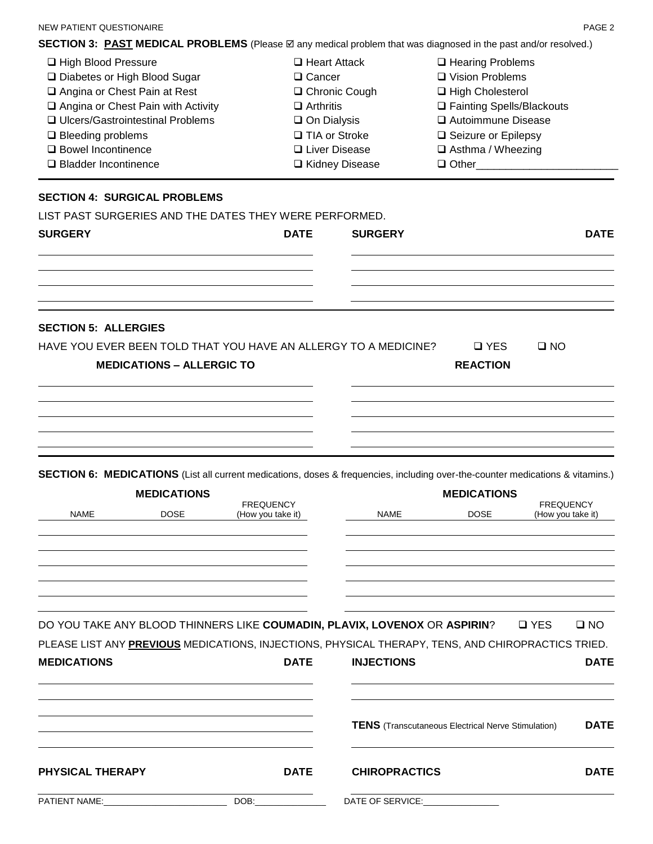**SECTION 3: PAST MEDICAL PROBLEMS** (Please ⊠ any medical problem that was diagnosed in the past and/or resolved.)

| □ High Blood Pressure                     | $\Box$ Heart Attack | $\Box$ Hearing Problems     |
|-------------------------------------------|---------------------|-----------------------------|
| □ Diabetes or High Blood Sugar            | $\Box$ Cancer       | □ Vision Problems           |
| □ Angina or Chest Pain at Rest            | □ Chronic Cough     | $\Box$ High Cholesterol     |
| $\Box$ Angina or Chest Pain with Activity | $\Box$ Arthritis    | □ Fainting Spells/Blackouts |
| □ Ulcers/Gastrointestinal Problems        | $\Box$ On Dialysis  | □ Autoimmune Disease        |
| $\Box$ Bleeding problems                  | □ TIA or Stroke     | □ Seizure or Epilepsy       |
| □ Bowel Incontinence                      | □ Liver Disease     | $\Box$ Asthma / Wheezing    |
| □ Bladder Incontinence                    | □ Kidney Disease    | $\Box$ Other                |

#### **SECTION 4: SURGICAL PROBLEMS**

|  | LIST PAST SURGERIES AND THE DATES THEY WERE PERFORMED. |
|--|--------------------------------------------------------|
|  |                                                        |

| <b>SURGERY</b>              |                                  | <b>DATE</b>                           | <b>SURGERY</b>                                                                                                                 |                               | <b>DATE</b>                           |
|-----------------------------|----------------------------------|---------------------------------------|--------------------------------------------------------------------------------------------------------------------------------|-------------------------------|---------------------------------------|
|                             |                                  |                                       |                                                                                                                                |                               |                                       |
|                             |                                  |                                       |                                                                                                                                |                               |                                       |
| <b>SECTION 5: ALLERGIES</b> |                                  |                                       |                                                                                                                                |                               |                                       |
|                             | <b>MEDICATIONS - ALLERGIC TO</b> |                                       | HAVE YOU EVER BEEN TOLD THAT YOU HAVE AN ALLERGY TO A MEDICINE?                                                                | $\Box$ YES<br><b>REACTION</b> | $\square$ NO                          |
|                             |                                  |                                       |                                                                                                                                |                               |                                       |
|                             |                                  |                                       |                                                                                                                                |                               |                                       |
|                             |                                  |                                       | SECTION 6: MEDICATIONS (List all current medications, doses & frequencies, including over-the-counter medications & vitamins.) |                               |                                       |
|                             | <b>MEDICATIONS</b>               |                                       |                                                                                                                                | <b>MEDICATIONS</b>            |                                       |
| <b>NAME</b>                 | <b>DOSE</b>                      | <b>FREQUENCY</b><br>(How you take it) | <b>NAME</b>                                                                                                                    | <b>DOSE</b>                   | <b>FREQUENCY</b><br>(How you take it) |
|                             |                                  |                                       |                                                                                                                                |                               |                                       |
|                             |                                  |                                       |                                                                                                                                |                               |                                       |
|                             |                                  |                                       |                                                                                                                                |                               |                                       |

DO YOU TAKE ANY BLOOD THINNERS LIKE **COUMADIN, PLAVIX, LOVENOX** OR **ASPIRIN**? YES NO

| PLEASE LIST ANY PREVIOUS MEDICATIONS, INJECTIONS, PHYSICAL THERAPY, TENS, AND CHIROPRACTICS TRIED. |  |  |
|----------------------------------------------------------------------------------------------------|--|--|
|----------------------------------------------------------------------------------------------------|--|--|

| <b>MEDICATIONS</b>   |      | <b>DATE</b> | <b>INJECTIONS</b>                                         | <b>DATE</b> |  |
|----------------------|------|-------------|-----------------------------------------------------------|-------------|--|
|                      |      |             | <b>TENS</b> (Transcutaneous Electrical Nerve Stimulation) | <b>DATE</b> |  |
| PHYSICAL THERAPY     |      | <b>DATE</b> | <b>CHIROPRACTICS</b>                                      | <b>DATE</b> |  |
| <b>PATIENT NAME:</b> | DOB: |             | DATE OF SERVICE:                                          |             |  |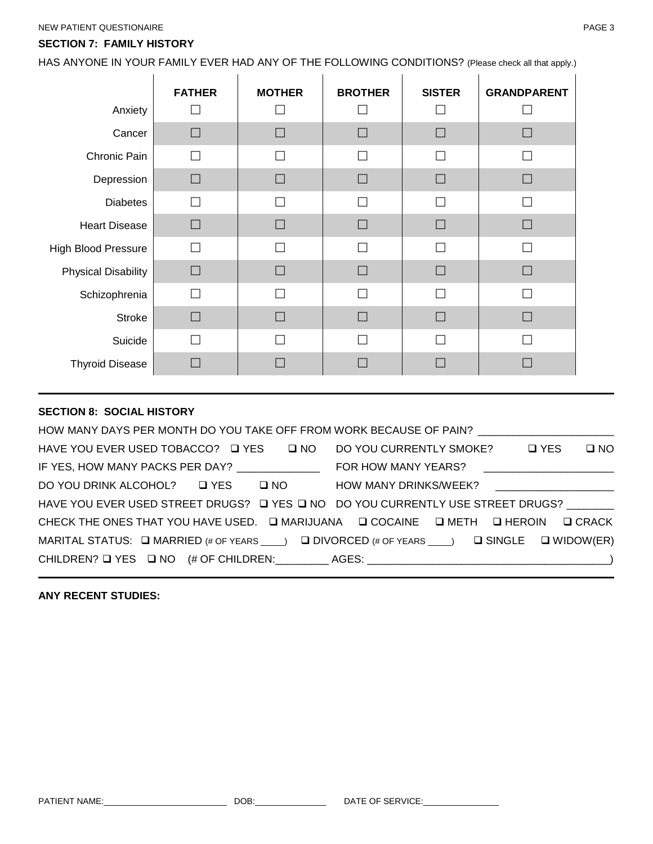#### **SECTION 7: FAMILY HISTORY**

HAS ANYONE IN YOUR FAMILY EVER HAD ANY OF THE FOLLOWING CONDITIONS? (Please check all that apply.)

|                            | <b>FATHER</b> | <b>MOTHER</b> | <b>BROTHER</b> | <b>SISTER</b> | <b>GRANDPARENT</b> |
|----------------------------|---------------|---------------|----------------|---------------|--------------------|
| Anxiety                    |               |               |                |               |                    |
| Cancer                     | $\Box$        | $\Box$        | $\Box$         | $\Box$        | П                  |
| Chronic Pain               |               | □             |                |               |                    |
| Depression                 | $\Box$        | $\Box$        | $\Box$         | $\Box$        | H                  |
| <b>Diabetes</b>            | П             | П             | П              |               |                    |
| <b>Heart Disease</b>       | П             | П             | $\Box$         | $\Box$        |                    |
| <b>High Blood Pressure</b> | П             | П             | $\Box$         | П             |                    |
| <b>Physical Disability</b> | $\Box$        | $\Box$        | $\Box$         | $\Box$        | П                  |
| Schizophrenia              | П             | П             | П              | $\Box$        |                    |
| <b>Stroke</b>              | $\Box$        | $\Box$        | П              | $\Box$        |                    |
| Suicide                    |               | □             |                |               |                    |
| <b>Thyroid Disease</b>     | $\Box$        | $\Box$        | $\Box$         | $\Box$        |                    |

## **SECTION 8: SOCIAL HISTORY**

|                                                | HOW MANY DAYS PER MONTH DO YOU TAKE OFF FROM WORK BECAUSE OF PAIN? ____________________                                 |
|------------------------------------------------|-------------------------------------------------------------------------------------------------------------------------|
|                                                | HAVE YOU EVER USED TOBACCO? Q YES Q NO DO YOU CURRENTLY SMOKE? Q YES Q NO                                               |
| IF YES, HOW MANY PACKS PER DAY? ______________ |                                                                                                                         |
|                                                | DO YOU DRINK ALCOHOL? □ YES □ NO HOW MANY DRINKS/WEEK?                                                                  |
|                                                | HAVE YOU EVER USED STREET DRUGS? □ YES □ NO DO YOU CURRENTLY USE STREET DRUGS?                                          |
|                                                | CHECK THE ONES THAT YOU HAVE USED. Q MARIJUANA Q COCAINE Q METH Q HEROIN Q CRACK                                        |
|                                                | MARITAL STATUS: $\Box$ MARRIED (# OF YEARS $\Box$ ) $\Box$ DIVORCED (# OF YEARS $\Box$ ) $\Box$ SINGLE $\Box$ WIDOW(ER) |
|                                                |                                                                                                                         |

## **ANY RECENT STUDIES:**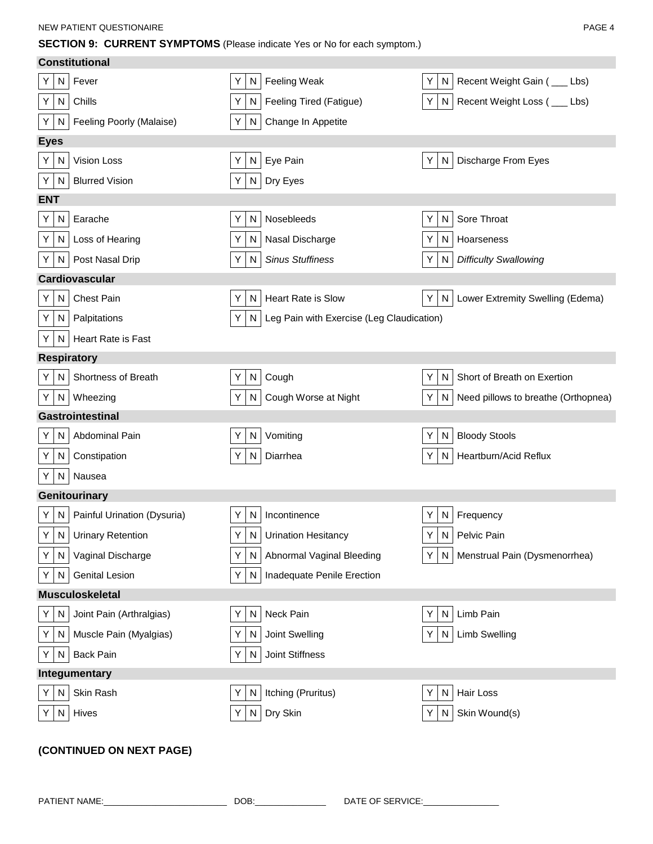**SECTION 9: CURRENT SYMPTOMS** (Please indicate Yes or No for each symptom.)

| <b>Constitutional</b>                    |                                                     |                                                |
|------------------------------------------|-----------------------------------------------------|------------------------------------------------|
| Fever<br>N<br>Y                          | Feeling Weak<br>Υ<br>N                              | Recent Weight Gain ( __ Lbs)<br>Y  <br>N       |
| Chills<br>Υ<br>N                         | Feeling Tired (Fatigue)<br>Y<br>N                   | Y N<br>Recent Weight Loss ( __ Lbs)            |
| Feeling Poorly (Malaise)<br>N<br>Y       | Y<br>Change In Appetite<br>N                        |                                                |
| <b>Eyes</b>                              |                                                     |                                                |
| Vision Loss<br>N<br>Y                    | Eye Pain<br>Y<br>N                                  | Discharge From Eyes<br>ΥI<br>N                 |
| <b>Blurred Vision</b><br>Y<br>N          | Dry Eyes<br>N<br>Υ                                  |                                                |
| <b>ENT</b>                               |                                                     |                                                |
| Earache<br>N<br>Y                        | Nosebleeds<br>Υ<br>N                                | Sore Throat<br>Y.<br>N                         |
| Y<br>${\sf N}$<br>Loss of Hearing        | Nasal Discharge<br>Y<br>N                           | Y  <br>Hoarseness<br>N                         |
| Post Nasal Drip<br>N<br>Y                | Υ<br><b>Sinus Stuffiness</b><br>N                   | <b>Difficulty Swallowing</b><br>N<br>Y         |
| Cardiovascular                           |                                                     |                                                |
| <b>Chest Pain</b><br>Υ<br>N              | <b>Heart Rate is Slow</b><br>Y<br>N                 | Lower Extremity Swelling (Edema)<br>Y  <br>N   |
| N<br>Palpitations<br>Y                   | Υ<br>Leg Pain with Exercise (Leg Claudication)<br>N |                                                |
| Υ<br>${\sf N}$<br>Heart Rate is Fast     |                                                     |                                                |
| <b>Respiratory</b>                       |                                                     |                                                |
| $\mathsf{N}$<br>Shortness of Breath<br>Y | Υ<br>${\sf N}$<br>Cough                             | Short of Breath on Exertion<br>$Y \mid$<br>N   |
| Wheezing<br>N<br>Y                       | Cough Worse at Night<br>N<br>Y                      | Need pillows to breathe (Orthopnea)<br>N<br>ΥI |
| Gastrointestinal                         |                                                     |                                                |
| Abdominal Pain<br>N<br>Y                 | Vomiting<br>Y<br>N                                  | <b>Bloody Stools</b><br>Y.<br>N                |
| Υ<br>N<br>Constipation                   | Diarrhea<br>N<br>Y                                  | Heartburn/Acid Reflux<br>Y I<br>N              |
| Nausea<br>Y<br>N                         |                                                     |                                                |
| Genitourinary                            |                                                     |                                                |
| Painful Urination (Dysuria)<br>N<br>Y    | Y<br>N<br>Incontinence                              | Frequency<br>ΥI<br>N                           |
| $Y \mid$<br>N Urinary Retention          | Y   N   Urination Hesitancy                         | Y N Pelvic Pain                                |
| Υ<br>N<br>Vaginal Discharge              | Υ<br>Abnormal Vaginal Bleeding<br>N                 | Y N<br>Menstrual Pain (Dysmenorrhea)           |
| N<br><b>Genital Lesion</b><br>Y          | Υ<br>N<br>Inadequate Penile Erection                |                                                |
| <b>Musculoskeletal</b>                   |                                                     |                                                |
| N<br>Joint Pain (Arthralgias)<br>Y       | Neck Pain<br>Υ<br>N                                 | Limb Pain<br>N<br>Y                            |
| Muscle Pain (Myalgias)<br>Y<br>N         | Υ<br>Joint Swelling<br>N                            | Limb Swelling<br>N<br>ΥI                       |
| <b>Back Pain</b><br>Y<br>N               | Y<br>N<br>Joint Stiffness                           |                                                |
| Integumentary                            |                                                     |                                                |
| N<br>Skin Rash<br>Y                      | Itching (Pruritus)<br>Y<br>N                        | Hair Loss<br>$Y \mid$<br>N                     |
| Hives<br>Y<br>N                          | Υ<br>Dry Skin<br>N                                  | Skin Wound(s)<br>Y I<br>N                      |
|                                          |                                                     |                                                |
| (CONTINUED ON NEXT PAGE)                 |                                                     |                                                |

PATIENT NAME:\_\_\_\_\_\_\_\_\_\_\_\_\_\_\_\_\_\_\_\_\_\_\_\_\_\_ DOB:\_\_\_\_\_\_\_\_\_\_\_\_\_\_\_ DATE OF SERVICE:\_\_\_\_\_\_\_\_\_\_\_\_\_\_\_\_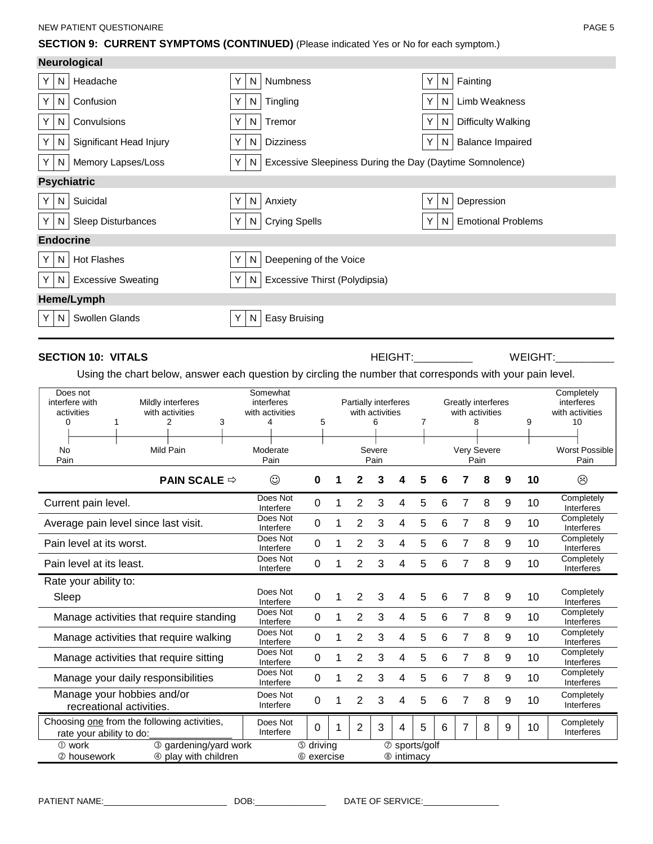#### **SECTION 9: CURRENT SYMPTOMS (CONTINUED)** (Please indicated Yes or No for each symptom.)

|                    | <b>Neurological</b>       |          |                                                          |         |                           |
|--------------------|---------------------------|----------|----------------------------------------------------------|---------|---------------------------|
| Y<br>N             | Headache                  | N        | <b>Numbness</b>                                          | N       | Fainting                  |
| Y<br>N             | Confusion                 | N.<br>Y. | Tingling                                                 | ΥI<br>N | Limb Weakness             |
| Y<br>N             | Convulsions               | Y.<br>N. | Tremor                                                   | ΥI<br>N | <b>Difficulty Walking</b> |
| Y<br>N             | Significant Head Injury   | N        | <b>Dizziness</b>                                         | N       | <b>Balance Impaired</b>   |
| Y.<br>N            | Memory Lapses/Loss        | Y.<br>N. | Excessive Sleepiness During the Day (Daytime Somnolence) |         |                           |
| <b>Psychiatric</b> |                           |          |                                                          |         |                           |
| N<br>Y             | Suicidal                  | N        | Anxiety                                                  | N       | Depression                |
| Y.<br>N            | Sleep Disturbances        | N.<br>Y. | <b>Crying Spells</b>                                     | ΥI<br>N | <b>Emotional Problems</b> |
| <b>Endocrine</b>   |                           |          |                                                          |         |                           |
| Y<br>N.            | <b>Hot Flashes</b>        | N.<br>Y. | Deepening of the Voice                                   |         |                           |
| N<br>Y             | <b>Excessive Sweating</b> | N.       | Excessive Thirst (Polydipsia)                            |         |                           |
|                    | Heme/Lymph                |          |                                                          |         |                           |
| Y<br>N             | Swollen Glands            | N<br>Y.  | <b>Easy Bruising</b>                                     |         |                           |

### **SECTION 10: VITALS** And the section of the Height:\_\_\_\_\_\_\_\_\_\_ Weight:\_\_\_\_\_\_\_\_\_\_

Using the chart below, answer each question by circling the number that corresponds with your pain level.

| Does not<br>interfere with<br>activities<br>0<br>No | Mildly interferes<br>with activities<br>3<br>2<br>Mild Pain | Somewhat<br>interferes<br>with activities<br>4<br>Moderate | 5                | Partially interferes | with activities<br>6<br>Severe |               | 7 |   |                | Greatly interferes<br>with activities<br>8<br>Very Severe |   | 9  | Completely<br>interferes<br>with activities<br>10<br><b>Worst Possible</b> |
|-----------------------------------------------------|-------------------------------------------------------------|------------------------------------------------------------|------------------|----------------------|--------------------------------|---------------|---|---|----------------|-----------------------------------------------------------|---|----|----------------------------------------------------------------------------|
| Pain                                                |                                                             | Pain                                                       |                  |                      | Pain                           |               |   |   |                | Pain                                                      |   |    | Pain                                                                       |
|                                                     | <b>PAIN SCALE <math>\Rightarrow</math></b>                  | $\odot$                                                    | U                | 2                    | 3                              | 4             | 5 | 6 |                | 8                                                         | 9 | 10 | ☺                                                                          |
| Current pain level.                                 |                                                             | Does Not<br>Interfere                                      | 0                | 2                    | 3                              | 4             | 5 | 6 | 7              | 8                                                         | 9 | 10 | Completely<br>Interferes                                                   |
|                                                     | Average pain level since last visit.                        | Does Not<br>Interfere                                      | 0                | 2                    | 3                              | 4             | 5 | 6 | 7              | 8                                                         | 9 | 10 | Completely<br>Interferes                                                   |
| Pain level at its worst.                            |                                                             | Does Not<br>Interfere                                      | 0                | 2                    | 3                              | 4             | 5 | 6 | 7              | 8                                                         | 9 | 10 | Completely<br>Interferes                                                   |
| Pain level at its least.                            |                                                             | Does Not<br>Interfere                                      | 0                | 2                    | 3                              | 4             | 5 | 6 | 7              | 8                                                         | 9 | 10 | Completely<br>Interferes                                                   |
| Rate your ability to:                               |                                                             |                                                            |                  |                      |                                |               |   |   |                |                                                           |   |    |                                                                            |
| Sleep                                               |                                                             | Does Not<br>Interfere                                      | 0                | 2                    | 3                              | 4             | 5 | 6 | 7              | 8                                                         | 9 | 10 | Completely<br>Interferes                                                   |
|                                                     | Manage activities that require standing                     | Does Not<br>Interfere                                      | 0                | $\overline{2}$       | 3                              | 4             | 5 | 6 | $\overline{7}$ | 8                                                         | 9 | 10 | Completely<br>Interferes                                                   |
|                                                     | Manage activities that require walking                      | Does Not<br>Interfere                                      | 0                | $\overline{2}$       | 3                              | 4             | 5 | 6 | 7              | 8                                                         | 9 | 10 | Completely<br>Interferes                                                   |
|                                                     | Manage activities that require sitting                      | Does Not<br>Interfere                                      | 0                | $\overline{2}$       | 3                              | 4             | 5 | 6 | 7              | 8                                                         | 9 | 10 | Completely<br>Interferes                                                   |
|                                                     | Manage your daily responsibilities                          | Does Not<br>Interfere                                      | 0                | $\overline{2}$       | 3                              | 4             | 5 | 6 | 7              | 8                                                         | 9 | 10 | Completely<br>Interferes                                                   |
|                                                     | Manage your hobbies and/or<br>recreational activities.      | Does Not<br>Interfere                                      | 0                | $\overline{2}$       | 3                              | 4             | 5 | 6 |                | 8                                                         | 9 | 10 | Completely<br>Interferes                                                   |
| rate your ability to do:                            | Choosing one from the following activities,                 | Does Not<br>Interfere                                      | 0                | $\overline{2}$       | 3                              | 4             | 5 | 6 | $\overline{7}$ | 8                                                         | 9 | 10 | Completely<br>Interferes                                                   |
| 3 gardening/yard work<br>① work                     |                                                             |                                                            | <b>5</b> driving |                      |                                | 2 sports/golf |   |   |                |                                                           |   |    |                                                                            |
| 2 housework                                         | 4 play with children                                        |                                                            | © exercise       |                      |                                | ® intimacy    |   |   |                |                                                           |   |    |                                                                            |

PATIENT NAME:\_\_\_\_\_\_\_\_\_\_\_\_\_\_\_\_\_\_\_\_\_\_\_\_\_\_ DOB:\_\_\_\_\_\_\_\_\_\_\_\_\_\_\_ DATE OF SERVICE:\_\_\_\_\_\_\_\_\_\_\_\_\_\_\_\_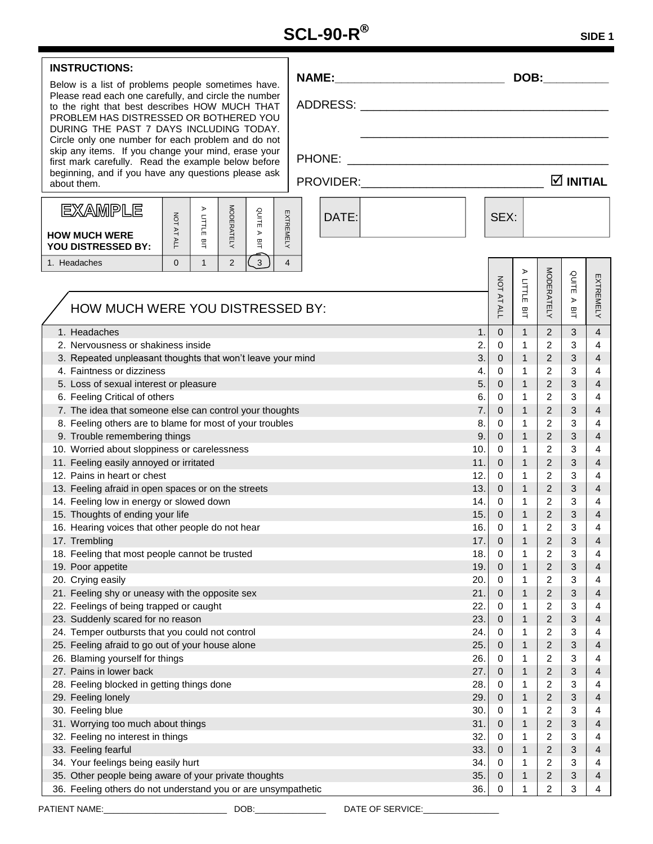| <b>INSTRUCTIONS:</b>                                                                                                                                                                         |       |            |                   |                   |                |                                |                |
|----------------------------------------------------------------------------------------------------------------------------------------------------------------------------------------------|-------|------------|-------------------|-------------------|----------------|--------------------------------|----------------|
| Below is a list of problems people sometimes have.                                                                                                                                           |       |            |                   | DOB:              |                |                                |                |
| Please read each one carefully, and circle the number<br>to the right that best describes HOW MUCH THAT<br>PROBLEM HAS DISTRESSED OR BOTHERED YOU<br>DURING THE PAST 7 DAYS INCLUDING TODAY. |       |            |                   |                   |                |                                |                |
| Circle only one number for each problem and do not<br>skip any items. If you change your mind, erase your                                                                                    |       |            |                   |                   |                |                                |                |
| first mark carefully. Read the example below before<br>beginning, and if you have any questions please ask                                                                                   |       |            |                   |                   |                |                                |                |
| about them.                                                                                                                                                                                  |       |            |                   |                   |                | $\boxtimes$ INITIAL            |                |
| <b>EXAMPLE</b><br>⋗                                                                                                                                                                          |       |            |                   |                   |                |                                |                |
| <b>MODERATELY</b><br>QUITE<br>EXTREMELY<br>TILLIT<br>NOT AT ALL<br>$\,$<br><b>HOW MUCH WERE</b><br>쁰<br>$\overline{\Xi}$<br><b>YOU DISTRESSED BY:</b>                                        | DATE: |            | SEX:              |                   |                |                                |                |
| 3<br>$\overline{2}$<br>$\Omega$<br>$\mathbf{1}$<br>$\overline{4}$<br>1. Headaches                                                                                                            |       |            |                   |                   |                |                                |                |
|                                                                                                                                                                                              |       |            |                   | $\triangleright$  |                |                                |                |
|                                                                                                                                                                                              |       |            |                   | LITLE             |                | QUITE                          |                |
| HOW MUCH WERE YOU DISTRESSED BY:                                                                                                                                                             |       |            | <b>NOT AT ALL</b> | BIT               | MODERATELY     | $\blacktriangleright$<br>$\Xi$ | EXTREMELY      |
|                                                                                                                                                                                              |       |            |                   |                   |                |                                |                |
| 1. Headaches                                                                                                                                                                                 |       | 1.         | $\Omega$          | $\mathbf{1}$      | 2              | 3                              | $\overline{4}$ |
| 2. Nervousness or shakiness inside                                                                                                                                                           |       | 2.<br>3.   | 0                 | 1<br>$\mathbf{1}$ | 2<br>2         | 3<br>3                         | 4              |
| 3. Repeated unpleasant thoughts that won't leave your mind<br>4. Faintness or dizziness                                                                                                      |       | 4.         | $\mathbf{0}$<br>0 | $\mathbf{1}$      | $\overline{c}$ | 3                              | 4<br>4         |
| 5. Loss of sexual interest or pleasure                                                                                                                                                       |       | 5.         | $\mathbf{0}$      | $\mathbf{1}$      | 2              | 3                              | 4              |
| 6. Feeling Critical of others                                                                                                                                                                |       | 6.         | 0                 | 1                 | 2              | 3                              | 4              |
| 7. The idea that someone else can control your thoughts                                                                                                                                      |       | 7.         | $\mathbf{0}$      | $\mathbf{1}$      | 2              | 3                              | 4              |
| 8. Feeling others are to blame for most of your troubles                                                                                                                                     |       | 8.         | 0                 | 1                 | 2              | 3                              | 4              |
| 9. Trouble remembering things                                                                                                                                                                |       | 9.         | $\mathbf{0}$      | $\mathbf{1}$      | 2              | 3                              | 4              |
| 10. Worried about sloppiness or carelessness                                                                                                                                                 |       | 10.        | $\mathbf 0$       | $\mathbf{1}$      | 2              | 3                              | 4              |
| 11. Feeling easily annoyed or irritated                                                                                                                                                      |       | 11.        | $\mathbf{0}$      | $\mathbf{1}$      | 2              | 3                              | $\overline{4}$ |
| 12. Pains in heart or chest                                                                                                                                                                  |       | 12.        | $\mathbf 0$       | 1                 | 2              | 3                              | 4              |
| 13. Feeling afraid in open spaces or on the streets                                                                                                                                          |       | 13.        | $\mathbf{0}$      | $\mathbf{1}$      | $\overline{2}$ | 3                              | $\overline{4}$ |
| 14. Feeling low in energy or slowed down                                                                                                                                                     |       | 14.        | $\mathbf 0$       | $\mathbf{1}$      | 2              | 3                              | 4              |
| 15. Thoughts of ending your life                                                                                                                                                             |       | 15.        | $\mathbf{0}$      | $\mathbf{1}$      | $\overline{2}$ | 3                              | $\overline{4}$ |
| 16. Hearing voices that other people do not hear                                                                                                                                             |       | 16.        | $\Omega$          | 1                 | $\overline{2}$ | 3                              | 4              |
| 17. Trembling                                                                                                                                                                                |       | 17.        | 0                 | 1                 | 2              | 3                              | 4              |
| 18. Feeling that most people cannot be trusted                                                                                                                                               |       | 18.        | 0                 | 1                 | 2              | 3                              | 4              |
| 19. Poor appetite                                                                                                                                                                            |       | 19.        | $\mathbf 0$       | 1                 | 2              | 3                              | 4              |
| 20. Crying easily                                                                                                                                                                            |       | 20.        | 0                 | 1                 | 2              | 3                              | 4              |
| 21. Feeling shy or uneasy with the opposite sex                                                                                                                                              |       | 21.        | $\pmb{0}$         | 1                 | 2              | 3                              | 4              |
| 22. Feelings of being trapped or caught                                                                                                                                                      |       | 22.        | 0                 | 1                 | 2              | 3                              | 4              |
| 23. Suddenly scared for no reason                                                                                                                                                            |       | 23.        | $\mathbf 0$       | 1                 | 2              | 3                              | 4              |
| 24. Temper outbursts that you could not control                                                                                                                                              |       | 24.        | 0                 | 1                 | 2              | 3                              | 4              |
| 25. Feeling afraid to go out of your house alone                                                                                                                                             |       | 25.        | $\mathbf 0$       | 1                 | 2              | 3                              | 4              |
| 26. Blaming yourself for things                                                                                                                                                              |       | 26.<br>27. | 0                 | 1                 | 2              | 3                              | 4              |
| 27. Pains in lower back                                                                                                                                                                      | 0     | 1          | 2                 | 3                 | 4              |                                |                |
| 28. Feeling blocked in getting things done                                                                                                                                                   | 0     | 1          | 2                 | 3                 | 4              |                                |                |
| 29. Feeling lonely                                                                                                                                                                           | 0     | 1          | 2                 | 3                 | 4              |                                |                |
| 30. Feeling blue                                                                                                                                                                             | 0     | 1          | 2                 | 3                 | 4              |                                |                |
| 31. Worrying too much about things                                                                                                                                                           |       | 31.        | 0                 | 1<br>1            | 2              | 3                              | 4              |
| 32. Feeling no interest in things                                                                                                                                                            |       | 32.        | 0<br>$\mathbf 0$  | $\mathbf{1}$      | 2<br>2         | 3<br>3                         | 4              |
| 33. Feeling fearful<br>34. Your feelings being easily hurt                                                                                                                                   |       | 33.<br>34. | 0                 | 1                 | 2              | 3                              | 4<br>4         |
| 35. Other people being aware of your private thoughts                                                                                                                                        |       | 35.        | $\mathbf 0$       | 1                 | 2              | 3                              | 4              |
| 36. Feeling others do not understand you or are unsympathetic                                                                                                                                | 0     | 1          | 2                 | 3                 | 4              |                                |                |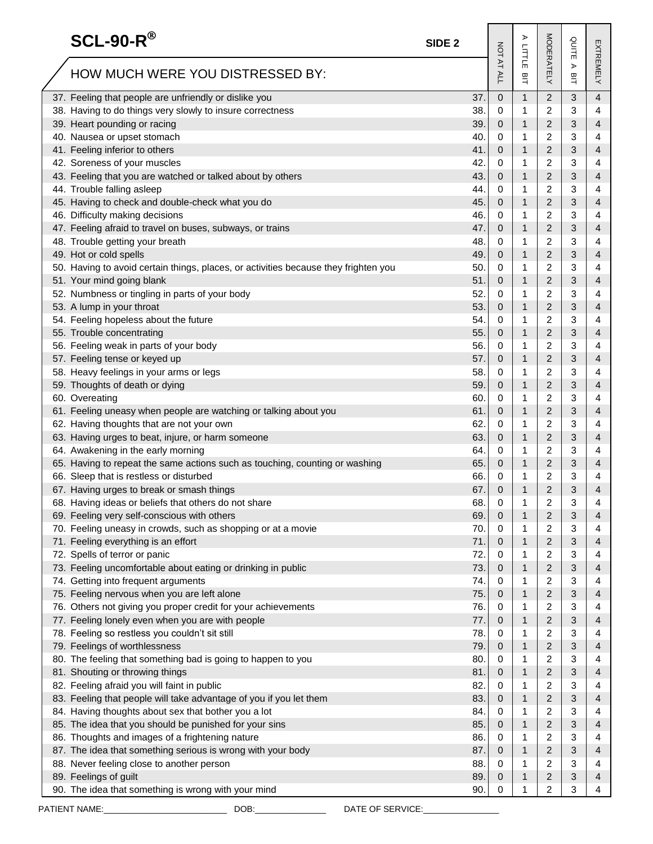| $SCL-90-R^{\circledR}$                                                              | SIDE <sub>2</sub> |                   | ⋗             |                | QUITE  |           |
|-------------------------------------------------------------------------------------|-------------------|-------------------|---------------|----------------|--------|-----------|
| HOW MUCH WERE YOU DISTRESSED BY:                                                    |                   | <b>NOT AT ALL</b> | LITLLE<br>BIT | MODERATELY     | ⋗<br>의 | EXTREMELY |
| 37. Feeling that people are unfriendly or dislike you                               | 37.               | 0                 | $\mathbf{1}$  | $\overline{c}$ | 3      | 4         |
| 38. Having to do things very slowly to insure correctness                           | 38.               | 0                 | 1             | 2              | 3      | 4         |
| 39. Heart pounding or racing                                                        | 39.               | 0                 | 1             | 2              | 3      | 4         |
| 40. Nausea or upset stomach                                                         | 40.               | 0                 | 1             | 2              | 3      | 4         |
| 41. Feeling inferior to others                                                      | 41.               | 0                 | 1             | $\overline{2}$ | 3      | 4         |
| 42. Soreness of your muscles                                                        | 42.               | 0                 | 1             | 2              | 3      | 4         |
| 43. Feeling that you are watched or talked about by others                          | 43.               | 0                 | $\mathbf{1}$  | $\overline{2}$ | 3      | 4         |
| 44. Trouble falling asleep                                                          | 44.               | 0                 | 1             | 2              | 3      | 4         |
| 45. Having to check and double-check what you do                                    | 45.               | 0                 | 1             | 2              | 3      | 4         |
| 46. Difficulty making decisions                                                     | 46.               | 0                 | 1             | 2              | 3      | 4         |
| 47. Feeling afraid to travel on buses, subways, or trains                           | 47.               | 0                 | 1             | 2              | 3      | 4         |
| 48. Trouble getting your breath                                                     | 48.               | 0                 | 1             | 2              | 3      | 4         |
| 49. Hot or cold spells                                                              | 49.               | 0                 | 1             | 2              | 3      | 4         |
| 50. Having to avoid certain things, places, or activities because they frighten you | 50.               | 0                 | 1             | 2              | 3      | 4         |
| 51. Your mind going blank                                                           | 51.               | 0                 | 1             | 2              | 3      | 4         |
| 52. Numbness or tingling in parts of your body                                      | 52.               | 0                 | 1             | 2              | 3      | 4         |
| 53. A lump in your throat                                                           | 53.               | 0                 | 1             | $\overline{2}$ | 3      | 4         |
| 54. Feeling hopeless about the future                                               | 54.               | 0                 | 1             | 2              | 3      | 4         |
| 55. Trouble concentrating                                                           | 55.               | 0                 | $\mathbf{1}$  | $\overline{2}$ | 3      | 4         |
| 56. Feeling weak in parts of your body                                              | 56.               | 0                 | 1             | 2              | 3      | 4         |
| 57. Feeling tense or keyed up                                                       | 57.               |                   | $\mathbf{1}$  | 2              | 3      | 4         |
| 58. Heavy feelings in your arms or legs                                             | 58.               | 0                 | 1             | 2              | 3      | 4         |
|                                                                                     |                   | 0                 | $\mathbf{1}$  |                |        |           |
| 59. Thoughts of death or dying                                                      | 59.               | 0                 |               | 2              | 3      | 4         |
| 60. Overeating                                                                      | 60.               | 0                 | 1             | 2              | 3      | 4         |
| 61. Feeling uneasy when people are watching or talking about you                    | 61.               | 0                 | $\mathbf{1}$  | 2              | 3      | 4         |
| 62. Having thoughts that are not your own                                           | 62.               | 0                 | 1             | 2              | 3      | 4         |
| 63. Having urges to beat, injure, or harm someone                                   | 63.               | 0                 | $\mathbf{1}$  | 2              | 3      | 4         |
| 64. Awakening in the early morning                                                  | 64.               | 0                 | 1             | 2              | 3      | 4         |
| 65. Having to repeat the same actions such as touching, counting or washing         | 65.               | 0                 | $\mathbf{1}$  | $\overline{2}$ | 3      | 4         |
| 66. Sleep that is restless or disturbed                                             | 66.               | 0                 | 1             | 2              | 3      | 4         |
| 67. Having urges to break or smash things                                           | 67.               | 0                 | $\mathbf{1}$  | 2              | 3      | 4         |
| 68. Having ideas or beliefs that others do not share                                | 68.               | 0                 | 1             | 2              | 3      | 4         |
| 69. Feeling very self-conscious with others                                         | 69.               | 0                 | $\mathbf{1}$  | 2              | 3      | 4         |
| 70. Feeling uneasy in crowds, such as shopping or at a movie                        | 70.               | 0                 | 1             | 2              | 3      | 4         |
| 71. Feeling everything is an effort                                                 | 71.               | 0                 | $\mathbf{1}$  | $\overline{c}$ | 3      | 4         |
| 72. Spells of terror or panic                                                       | 72.               | 0                 | 1             | 2              | 3      | 4         |
| 73. Feeling uncomfortable about eating or drinking in public                        | 73.               | 0                 | $\mathbf{1}$  | 2              | 3      | 4         |
| 74. Getting into frequent arguments                                                 | 74.               | 0                 | 1             | 2              | 3      | 4         |
| 75. Feeling nervous when you are left alone                                         | 75.               | 0                 | $\mathbf{1}$  | $\overline{2}$ | 3      | 4         |
| 76. Others not giving you proper credit for your achievements                       | 76.               | 0                 | 1             | 2              | 3      | 4         |
| 77. Feeling lonely even when you are with people                                    | 77.               | 0                 | $\mathbf{1}$  | $\overline{2}$ | 3      | 4         |
| 78. Feeling so restless you couldn't sit still                                      | 78.               | 0                 | 1             | 2              | 3      | 4         |
| 79. Feelings of worthlessness                                                       | 79.               | 0                 | $\mathbf{1}$  | $\overline{2}$ | 3      | 4         |
| 80. The feeling that something bad is going to happen to you                        | 80.               | 0                 | 1             | 2              | 3      | 4         |
| 81. Shouting or throwing things                                                     | 81.               | 0                 | $\mathbf{1}$  | 2              | 3      | 4         |
| 82. Feeling afraid you will faint in public                                         | 82.               | 0                 | 1             | 2              | 3      | 4         |
| 83. Feeling that people will take advantage of you if you let them                  | 83.               | 0                 | 1             | 2              | 3      | 4         |
| 84. Having thoughts about sex that bother you a lot                                 | 84.               | 0                 | 1             | 2              | 3      | 4         |
| 85. The idea that you should be punished for your sins                              | 85.               | 0                 | $\mathbf{1}$  | 2              | 3      | 4         |
| 86. Thoughts and images of a frightening nature                                     | 86.               | 0                 | 1             | 2              | 3      | 4         |
| 87. The idea that something serious is wrong with your body                         | 87.               | 0                 | $\mathbf{1}$  | 2              | 3      | 4         |
| 88. Never feeling close to another person                                           | 88.               | 0                 | 1             | 2              | 3      | 4         |
| 89. Feelings of guilt                                                               | 89.               | 0                 | 1             | 2              | 3      | 4         |
| 90. The idea that something is wrong with your mind                                 | 90.               | 0                 | 1             | 2              | 3      | 4         |
| PATIENT NAME:<br>DOB.<br>DATE OF SERVICE:                                           |                   |                   |               |                |        |           |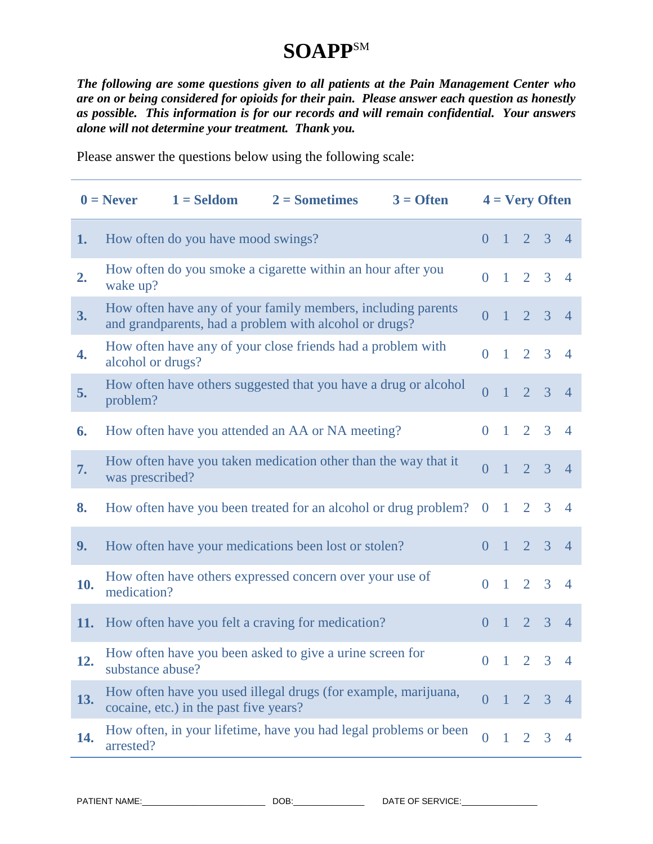# **SOAPP**SM

*The following are some questions given to all patients at the Pain Management Center who are on or being considered for opioids for their pain. Please answer each question as honestly as possible. This information is for our records and will remain confidential. Your answers alone will not determine your treatment. Thank you.*

Please answer the questions below using the following scale:

|                  | $1 = Seldom$<br>$0 =$ Never                                                                                            | $2 =$ Sometimes | $3 =$ Often |                |                 | $4 = \nVery$ Often       |              |                |
|------------------|------------------------------------------------------------------------------------------------------------------------|-----------------|-------------|----------------|-----------------|--------------------------|--------------|----------------|
| 1.               | How often do you have mood swings?                                                                                     |                 |             | $\overline{0}$ |                 | $1 \t2 \t3 \t4$          |              |                |
| 2.               | How often do you smoke a cigarette within an hour after you<br>wake up?                                                |                 |             | $\overline{0}$ |                 | $1\quad 2\quad 3\quad 4$ |              |                |
| 3.               | How often have any of your family members, including parents<br>and grandparents, had a problem with alcohol or drugs? |                 |             | $\overline{0}$ |                 | $1 \t2 \t3 \t4$          |              |                |
| $\overline{4}$ . | How often have any of your close friends had a problem with<br>alcohol or drugs?                                       |                 |             | $\theta$       | $\mathbf{1}$    |                          | $2 \t3 \t4$  |                |
| 5.               | How often have others suggested that you have a drug or alcohol<br>problem?                                            |                 |             | $\overline{0}$ | $\vert$ 1       |                          | $2 \t3 \t4$  |                |
| 6.               | How often have you attended an AA or NA meeting?                                                                       |                 |             | $\Omega$       | $\pm$           |                          | $2 \t3 \t4$  |                |
| 7.               | How often have you taken medication other than the way that it<br>was prescribed?                                      |                 |             | $\overline{0}$ |                 | $1 \t2 \t3 \t4$          |              |                |
| 8.               | How often have you been treated for an alcohol or drug problem?                                                        |                 |             | $\overline{0}$ | $\overline{1}$  |                          | $2 \quad 3$  | $\overline{4}$ |
| 9.               | How often have your medications been lost or stolen?                                                                   |                 |             | $\overline{0}$ |                 | $1 \t2 \t3 \t4$          |              |                |
| 10.              | How often have others expressed concern over your use of<br>medication?                                                |                 |             | $\overline{0}$ |                 | $1\quad 2\quad 3\quad 4$ |              |                |
| <b>11.</b>       | How often have you felt a craving for medication?                                                                      |                 |             | $\overline{0}$ | $\vert 1 \vert$ |                          | $2 \t3 \t4$  |                |
| 12.              | How often have you been asked to give a urine screen for<br>substance abuse?                                           |                 |             |                |                 | $0 \t1 \t2 \t3 \t4$      |              |                |
| 13.              | How often have you used illegal drugs (for example, marijuana,<br>cocaine, etc.) in the past five years?               |                 |             | $\overline{0}$ | $\mathbf{I}$    | 2 3                      |              | $\overline{4}$ |
| 14.              | How often, in your lifetime, have you had legal problems or been<br>arrested?                                          |                 |             | $\overline{0}$ | $\mathbf{1}$    | 2                        | $\mathbf{3}$ | $\overline{4}$ |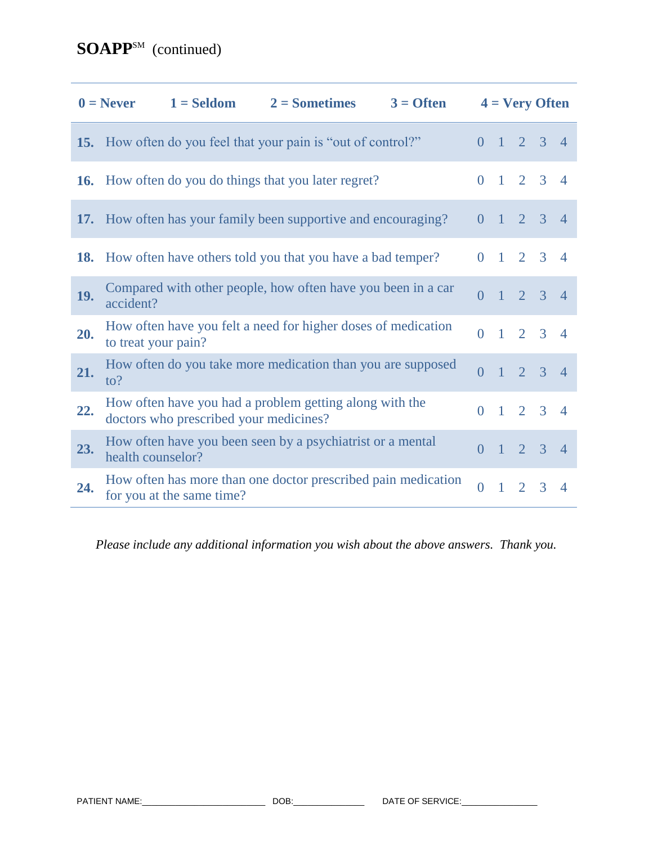|            | $0 =$ Never         |                                        | $1 = Seldom$ $2 = Sometimes$                                         | $3 =$ Often |                |              |                | $4 = \nVery$ Often          |                          |
|------------|---------------------|----------------------------------------|----------------------------------------------------------------------|-------------|----------------|--------------|----------------|-----------------------------|--------------------------|
|            |                     |                                        | <b>15.</b> How often do you feel that your pain is "out of control?" |             |                |              |                | $0 \t1 \t2 \t3 \t4$         |                          |
| <b>16.</b> |                     |                                        | How often do you do things that you later regret?                    |             |                |              |                | $0 \t1 \t2 \t3 \t4$         |                          |
|            |                     |                                        | 17. How often has your family been supportive and encouraging?       |             | $\Omega$       |              |                | $1 \t2 \t3 \t4$             |                          |
| <b>18.</b> |                     |                                        | How often have others told you that you have a bad temper?           |             | $\Omega$       |              |                | $1 \t2 \t3 \t4$             |                          |
| 19.        | accident?           |                                        | Compared with other people, how often have you been in a car         |             | $\overline{0}$ |              |                | $1 \quad 2 \quad 3 \quad 4$ |                          |
| 20.        | to treat your pain? |                                        | How often have you felt a need for higher doses of medication        |             | $\Omega$       |              |                | $1\quad 2\quad 3\quad 4$    |                          |
| 21.        | $\mathrm{to}2$      |                                        | How often do you take more medication than you are supposed          |             | $\overline{0}$ |              |                | $1 \quad 2 \quad 3 \quad 4$ |                          |
| 22.        |                     | doctors who prescribed your medicines? | How often have you had a problem getting along with the              |             | $\Omega$       |              |                | $1 \t2 \t3 \t4$             |                          |
| 23.        | health counselor?   |                                        | How often have you been seen by a psychiatrist or a mental           |             | $\overline{0}$ |              |                | $1 \t2 \t3 \t4$             |                          |
| 24.        |                     | for you at the same time?              | How often has more than one doctor prescribed pain medication        |             | $\theta$       | $\mathbf{1}$ | $\overline{2}$ | 3                           | $\boldsymbol{\varDelta}$ |

*Please include any additional information you wish about the above answers. Thank you.*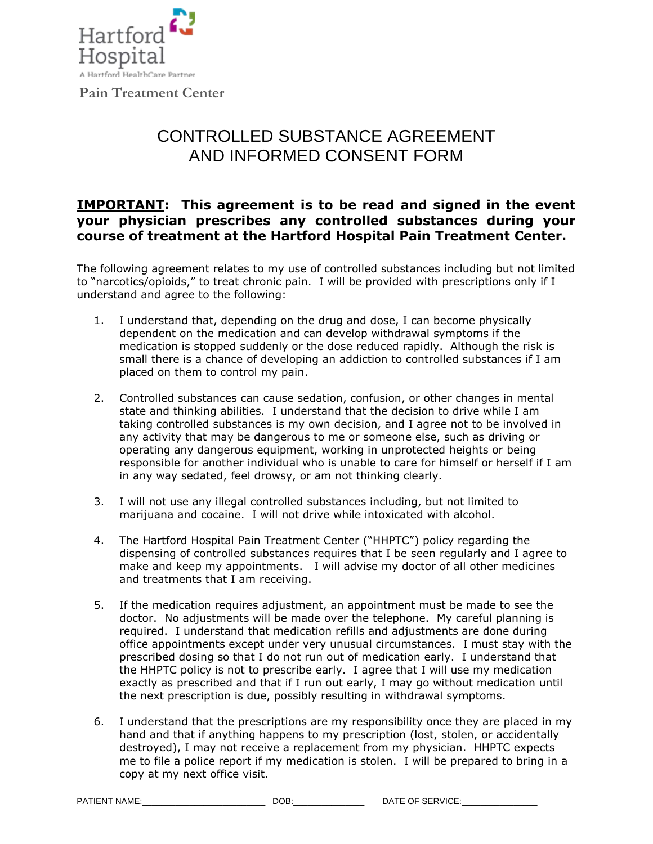

# CONTROLLED SUBSTANCE AGREEMENT AND INFORMED CONSENT FORM

## **IMPORTANT: This agreement is to be read and signed in the event your physician prescribes any controlled substances during your course of treatment at the Hartford Hospital Pain Treatment Center.**

The following agreement relates to my use of controlled substances including but not limited to "narcotics/opioids," to treat chronic pain. I will be provided with prescriptions only if I understand and agree to the following:

- 1. I understand that, depending on the drug and dose, I can become physically dependent on the medication and can develop withdrawal symptoms if the medication is stopped suddenly or the dose reduced rapidly. Although the risk is small there is a chance of developing an addiction to controlled substances if I am placed on them to control my pain.
- 2. Controlled substances can cause sedation, confusion, or other changes in mental state and thinking abilities. I understand that the decision to drive while I am taking controlled substances is my own decision, and I agree not to be involved in any activity that may be dangerous to me or someone else, such as driving or operating any dangerous equipment, working in unprotected heights or being responsible for another individual who is unable to care for himself or herself if I am in any way sedated, feel drowsy, or am not thinking clearly.
- 3. I will not use any illegal controlled substances including, but not limited to marijuana and cocaine. I will not drive while intoxicated with alcohol.
- 4. The Hartford Hospital Pain Treatment Center ("HHPTC") policy regarding the dispensing of controlled substances requires that I be seen regularly and I agree to make and keep my appointments. I will advise my doctor of all other medicines and treatments that I am receiving.
- 5. If the medication requires adjustment, an appointment must be made to see the doctor. No adjustments will be made over the telephone. My careful planning is required. I understand that medication refills and adjustments are done during office appointments except under very unusual circumstances. I must stay with the prescribed dosing so that I do not run out of medication early. I understand that the HHPTC policy is not to prescribe early. I agree that I will use my medication exactly as prescribed and that if I run out early, I may go without medication until the next prescription is due, possibly resulting in withdrawal symptoms.
- 6. I understand that the prescriptions are my responsibility once they are placed in my hand and that if anything happens to my prescription (lost, stolen, or accidentally destroyed), I may not receive a replacement from my physician. HHPTC expects me to file a police report if my medication is stolen. I will be prepared to bring in a copy at my next office visit.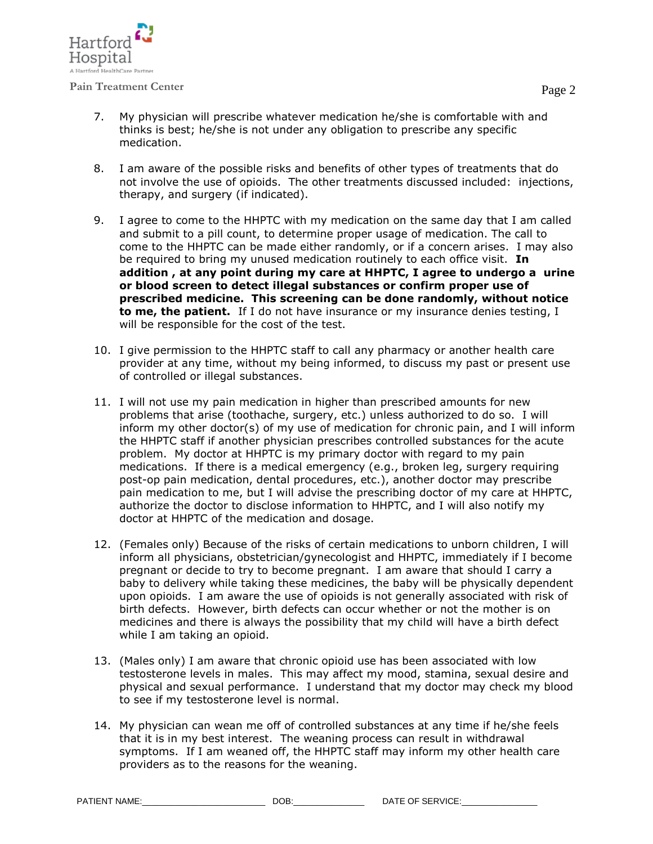

- 7. My physician will prescribe whatever medication he/she is comfortable with and thinks is best; he/she is not under any obligation to prescribe any specific medication.
- 8. I am aware of the possible risks and benefits of other types of treatments that do not involve the use of opioids. The other treatments discussed included: injections, therapy, and surgery (if indicated).
- 9. I agree to come to the HHPTC with my medication on the same day that I am called and submit to a pill count, to determine proper usage of medication. The call to come to the HHPTC can be made either randomly, or if a concern arises. I may also be required to bring my unused medication routinely to each office visit. **In addition , at any point during my care at HHPTC, I agree to undergo a urine or blood screen to detect illegal substances or confirm proper use of prescribed medicine. This screening can be done randomly, without notice to me, the patient.** If I do not have insurance or my insurance denies testing, I will be responsible for the cost of the test.
- 10. I give permission to the HHPTC staff to call any pharmacy or another health care provider at any time, without my being informed, to discuss my past or present use of controlled or illegal substances.
- 11. I will not use my pain medication in higher than prescribed amounts for new problems that arise (toothache, surgery, etc.) unless authorized to do so. I will inform my other doctor(s) of my use of medication for chronic pain, and I will inform the HHPTC staff if another physician prescribes controlled substances for the acute problem. My doctor at HHPTC is my primary doctor with regard to my pain medications. If there is a medical emergency (e.g., broken leg, surgery requiring post-op pain medication, dental procedures, etc.), another doctor may prescribe pain medication to me, but I will advise the prescribing doctor of my care at HHPTC, authorize the doctor to disclose information to HHPTC, and I will also notify my doctor at HHPTC of the medication and dosage.
- 12. (Females only) Because of the risks of certain medications to unborn children, I will inform all physicians, obstetrician/gynecologist and HHPTC, immediately if I become pregnant or decide to try to become pregnant. I am aware that should I carry a baby to delivery while taking these medicines, the baby will be physically dependent upon opioids. I am aware the use of opioids is not generally associated with risk of birth defects. However, birth defects can occur whether or not the mother is on medicines and there is always the possibility that my child will have a birth defect while I am taking an opioid.
- 13. (Males only) I am aware that chronic opioid use has been associated with low testosterone levels in males. This may affect my mood, stamina, sexual desire and physical and sexual performance. I understand that my doctor may check my blood to see if my testosterone level is normal.
- 14. My physician can wean me off of controlled substances at any time if he/she feels that it is in my best interest. The weaning process can result in withdrawal symptoms. If I am weaned off, the HHPTC staff may inform my other health care providers as to the reasons for the weaning.

PATIENT NAME: THE SERVICE: THE SERVICE: THE SERVICE: THE SERVICE: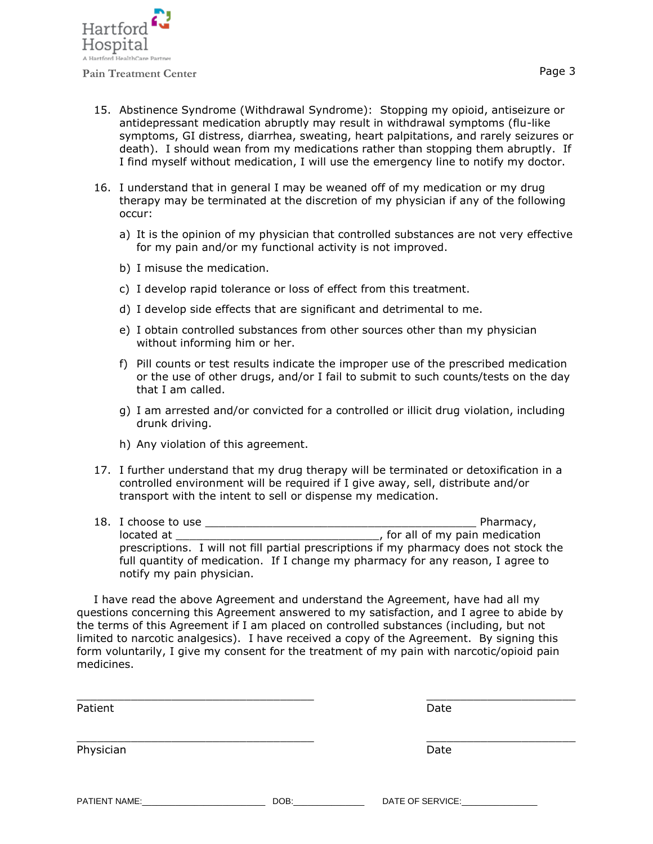

- 15. Abstinence Syndrome (Withdrawal Syndrome): Stopping my opioid, antiseizure or antidepressant medication abruptly may result in withdrawal symptoms (flu-like symptoms, GI distress, diarrhea, sweating, heart palpitations, and rarely seizures or death). I should wean from my medications rather than stopping them abruptly. If I find myself without medication, I will use the emergency line to notify my doctor.
- 16. I understand that in general I may be weaned off of my medication or my drug therapy may be terminated at the discretion of my physician if any of the following occur:
	- a) It is the opinion of my physician that controlled substances are not very effective for my pain and/or my functional activity is not improved.
	- b) I misuse the medication.
	- c) I develop rapid tolerance or loss of effect from this treatment.
	- d) I develop side effects that are significant and detrimental to me.
	- e) I obtain controlled substances from other sources other than my physician without informing him or her.
	- f) Pill counts or test results indicate the improper use of the prescribed medication or the use of other drugs, and/or I fail to submit to such counts/tests on the day that I am called.
	- g) I am arrested and/or convicted for a controlled or illicit drug violation, including drunk driving.
	- h) Any violation of this agreement.
- 17. I further understand that my drug therapy will be terminated or detoxification in a controlled environment will be required if I give away, sell, distribute and/or transport with the intent to sell or dispense my medication.
- 18. I choose to use the use the state of the state of the state of Pharmacy, located at \_\_\_\_\_\_\_\_\_\_\_\_\_\_\_\_\_\_\_\_\_\_\_\_\_\_\_\_\_\_, for all of my pain medication prescriptions. I will not fill partial prescriptions if my pharmacy does not stock the full quantity of medication. If I change my pharmacy for any reason, I agree to notify my pain physician.

I have read the above Agreement and understand the Agreement, have had all my questions concerning this Agreement answered to my satisfaction, and I agree to abide by the terms of this Agreement if I am placed on controlled substances (including, but not limited to narcotic analgesics). I have received a copy of the Agreement. By signing this form voluntarily, I give my consent for the treatment of my pain with narcotic/opioid pain medicines.

| Patient       |      | Date             |  |
|---------------|------|------------------|--|
| Physician     |      | Date             |  |
| PATIENT NAME: | DOB: | DATE OF SERVICE: |  |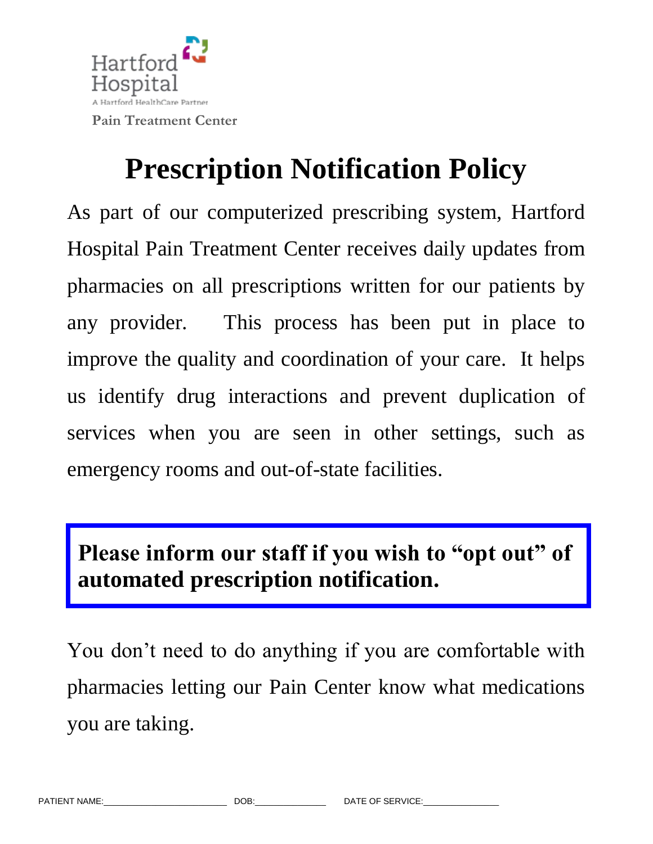

# **Prescription Notification Policy**

As part of our computerized prescribing system, Hartford Hospital Pain Treatment Center receives daily updates from pharmacies on all prescriptions written for our patients by any provider. This process has been put in place to improve the quality and coordination of your care. It helps us identify drug interactions and prevent duplication of services when you are seen in other settings, such as emergency rooms and out-of-state facilities.

# **Please inform our staff if you wish to "opt out" of automated prescription notification.**

You don't need to do anything if you are comfortable with pharmacies letting our Pain Center know what medications you are taking.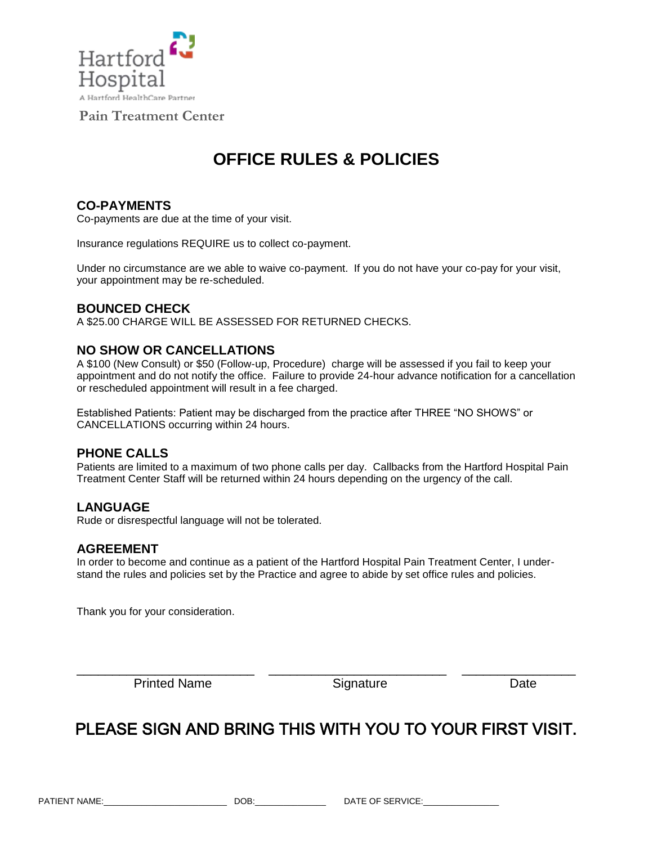

# **OFFICE RULES & POLICIES**

## **CO-PAYMENTS**

Co-payments are due at the time of your visit.

Insurance regulations REQUIRE us to collect co-payment.

Under no circumstance are we able to waive co-payment. If you do not have your co-pay for your visit, your appointment may be re-scheduled.

## **BOUNCED CHECK**

A \$25.00 CHARGE WILL BE ASSESSED FOR RETURNED CHECKS.

### **NO SHOW OR CANCELLATIONS**

A \$100 (New Consult) or \$50 (Follow-up, Procedure) charge will be assessed if you fail to keep your appointment and do not notify the office. Failure to provide 24-hour advance notification for a cancellation or rescheduled appointment will result in a fee charged.

Established Patients: Patient may be discharged from the practice after THREE "NO SHOWS" or CANCELLATIONS occurring within 24 hours.

#### **PHONE CALLS**

Patients are limited to a maximum of two phone calls per day. Callbacks from the Hartford Hospital Pain Treatment Center Staff will be returned within 24 hours depending on the urgency of the call.

## **LANGUAGE**

Rude or disrespectful language will not be tolerated.

#### **AGREEMENT**

In order to become and continue as a patient of the Hartford Hospital Pain Treatment Center, I understand the rules and policies set by the Practice and agree to abide by set office rules and policies.

Thank you for your consideration.

Printed Name Signature Signature Date

# PLEASE SIGN AND BRING THIS WITH YOU TO YOUR FIRST VISIT.

\_\_\_\_\_\_\_\_\_\_\_\_\_\_\_\_\_\_\_\_\_\_\_\_\_ \_\_\_\_\_\_\_\_\_\_\_\_\_\_\_\_\_\_\_\_\_\_\_\_\_ \_\_\_\_\_\_\_\_\_\_\_\_\_\_\_\_